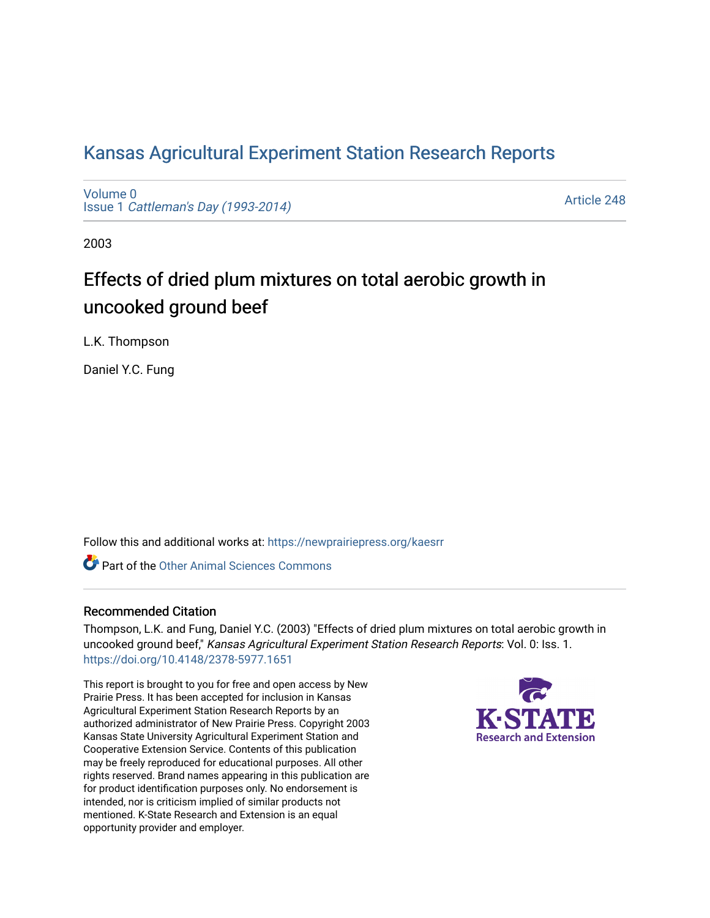# [Kansas Agricultural Experiment Station Research Reports](https://newprairiepress.org/kaesrr)

[Volume 0](https://newprairiepress.org/kaesrr/vol0) Issue 1 [Cattleman's Day \(1993-2014\)](https://newprairiepress.org/kaesrr/vol0/iss1) 

[Article 248](https://newprairiepress.org/kaesrr/vol0/iss1/248) 

2003

# Effects of dried plum mixtures on total aerobic growth in uncooked ground beef

L.K. Thompson

Daniel Y.C. Fung

Follow this and additional works at: [https://newprairiepress.org/kaesrr](https://newprairiepress.org/kaesrr?utm_source=newprairiepress.org%2Fkaesrr%2Fvol0%2Fiss1%2F248&utm_medium=PDF&utm_campaign=PDFCoverPages) 

**C** Part of the [Other Animal Sciences Commons](http://network.bepress.com/hgg/discipline/82?utm_source=newprairiepress.org%2Fkaesrr%2Fvol0%2Fiss1%2F248&utm_medium=PDF&utm_campaign=PDFCoverPages)

#### Recommended Citation

Thompson, L.K. and Fung, Daniel Y.C. (2003) "Effects of dried plum mixtures on total aerobic growth in uncooked ground beef," Kansas Agricultural Experiment Station Research Reports: Vol. 0: Iss. 1. <https://doi.org/10.4148/2378-5977.1651>

This report is brought to you for free and open access by New Prairie Press. It has been accepted for inclusion in Kansas Agricultural Experiment Station Research Reports by an authorized administrator of New Prairie Press. Copyright 2003 Kansas State University Agricultural Experiment Station and Cooperative Extension Service. Contents of this publication may be freely reproduced for educational purposes. All other rights reserved. Brand names appearing in this publication are for product identification purposes only. No endorsement is intended, nor is criticism implied of similar products not mentioned. K-State Research and Extension is an equal opportunity provider and employer.

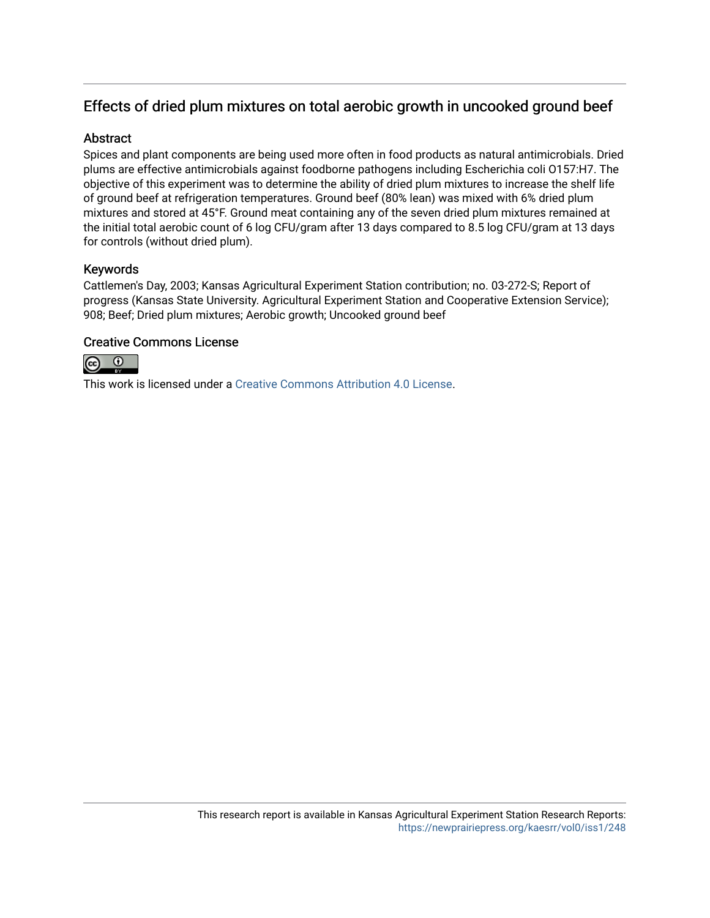# Effects of dried plum mixtures on total aerobic growth in uncooked ground beef

### **Abstract**

Spices and plant components are being used more often in food products as natural antimicrobials. Dried plums are effective antimicrobials against foodborne pathogens including Escherichia coli O157:H7. The objective of this experiment was to determine the ability of dried plum mixtures to increase the shelf life of ground beef at refrigeration temperatures. Ground beef (80% lean) was mixed with 6% dried plum mixtures and stored at 45°F. Ground meat containing any of the seven dried plum mixtures remained at the initial total aerobic count of 6 log CFU/gram after 13 days compared to 8.5 log CFU/gram at 13 days for controls (without dried plum).

## Keywords

Cattlemen's Day, 2003; Kansas Agricultural Experiment Station contribution; no. 03-272-S; Report of progress (Kansas State University. Agricultural Experiment Station and Cooperative Extension Service); 908; Beef; Dried plum mixtures; Aerobic growth; Uncooked ground beef

## Creative Commons License



This work is licensed under a [Creative Commons Attribution 4.0 License](https://creativecommons.org/licenses/by/4.0/).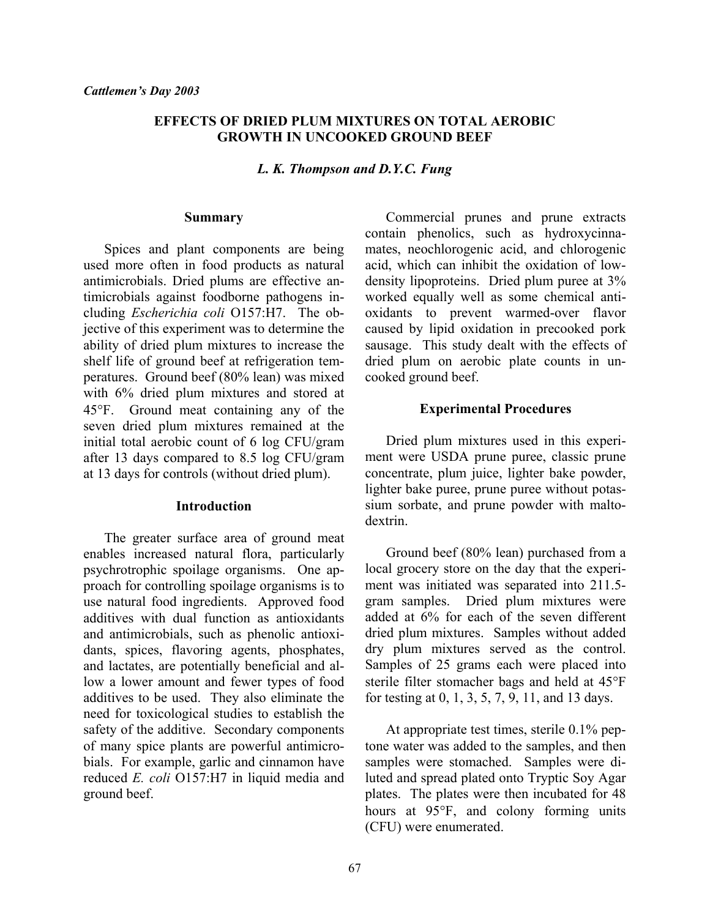#### **EFFECTS OF DRIED PLUM MIXTURES ON TOTAL AEROBIC GROWTH IN UNCOOKED GROUND BEEF**

*L. K. Thompson and D.Y.C. Fung*

#### **Summary**

 Spices and plant components are being used more often in food products as natural antimicrobials. Dried plums are effective antimicrobials against foodborne pathogens including *Escherichia coli* O157:H7. The objective of this experiment was to determine the ability of dried plum mixtures to increase the shelf life of ground beef at refrigeration temperatures. Ground beef (80% lean) was mixed with 6% dried plum mixtures and stored at 45°F. Ground meat containing any of the seven dried plum mixtures remained at the initial total aerobic count of 6 log CFU/gram after 13 days compared to 8.5 log CFU/gram at 13 days for controls (without dried plum).

#### **Introduction**

 The greater surface area of ground meat enables increased natural flora, particularly psychrotrophic spoilage organisms. One approach for controlling spoilage organisms is to use natural food ingredients. Approved food additives with dual function as antioxidants and antimicrobials, such as phenolic antioxidants, spices, flavoring agents, phosphates, and lactates, are potentially beneficial and allow a lower amount and fewer types of food additives to be used. They also eliminate the need for toxicological studies to establish the safety of the additive. Secondary components of many spice plants are powerful antimicrobials. For example, garlic and cinnamon have reduced *E. coli* O157:H7 in liquid media and ground beef.

 Commercial prunes and prune extracts contain phenolics, such as hydroxycinnamates, neochlorogenic acid, and chlorogenic acid, which can inhibit the oxidation of lowdensity lipoproteins. Dried plum puree at 3% worked equally well as some chemical antioxidants to prevent warmed-over flavor caused by lipid oxidation in precooked pork sausage. This study dealt with the effects of dried plum on aerobic plate counts in uncooked ground beef.

#### **Experimental Procedures**

 Dried plum mixtures used in this experiment were USDA prune puree, classic prune concentrate, plum juice, lighter bake powder, lighter bake puree, prune puree without potassium sorbate, and prune powder with maltodextrin.

 Ground beef (80% lean) purchased from a local grocery store on the day that the experiment was initiated was separated into 211.5 gram samples. Dried plum mixtures were added at 6% for each of the seven different dried plum mixtures. Samples without added dry plum mixtures served as the control. Samples of 25 grams each were placed into sterile filter stomacher bags and held at 45°F for testing at 0, 1, 3, 5, 7, 9, 11, and 13 days.

 At appropriate test times, sterile 0.1% peptone water was added to the samples, and then samples were stomached. Samples were diluted and spread plated onto Tryptic Soy Agar plates. The plates were then incubated for 48 hours at 95°F, and colony forming units (CFU) were enumerated.